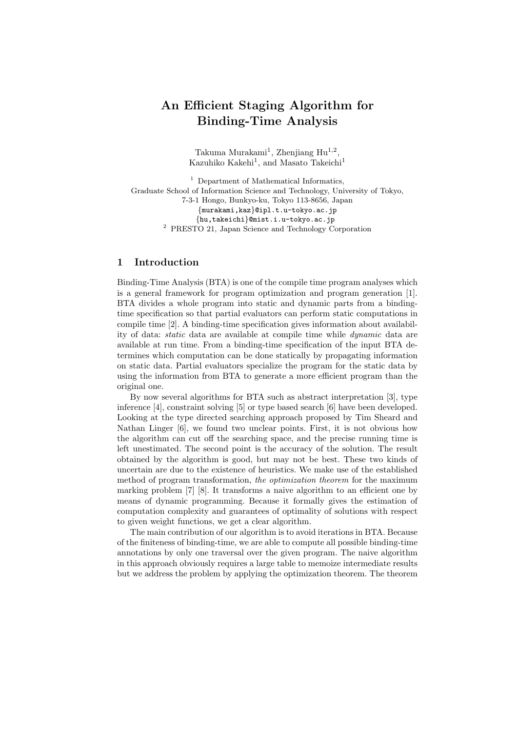# An Efficient Staging Algorithm for Binding-Time Analysis

Takuma Murakami<sup>1</sup>, Zhenjiang Hu<sup>1,2</sup>, Kazuhiko Kakehi<sup>1</sup>, and Masato Takeichi<sup>1</sup>

 $<sup>1</sup>$  Department of Mathematical Informatics,</sup> Graduate School of Information Science and Technology, University of Tokyo, 7-3-1 Hongo, Bunkyo-ku, Tokyo 113-8656, Japan {murakami,kaz}@ipl.t.u-tokyo.ac.jp {hu,takeichi}@mist.i.u-tokyo.ac.jp <sup>2</sup> PRESTO 21, Japan Science and Technology Corporation

## 1 Introduction

Binding-Time Analysis (BTA) is one of the compile time program analyses which is a general framework for program optimization and program generation [1]. BTA divides a whole program into static and dynamic parts from a bindingtime specification so that partial evaluators can perform static computations in compile time [2]. A binding-time specification gives information about availability of data: static data are available at compile time while dynamic data are available at run time. From a binding-time specification of the input BTA determines which computation can be done statically by propagating information on static data. Partial evaluators specialize the program for the static data by using the information from BTA to generate a more efficient program than the original one.

By now several algorithms for BTA such as abstract interpretation [3], type inference [4], constraint solving [5] or type based search [6] have been developed. Looking at the type directed searching approach proposed by Tim Sheard and Nathan Linger [6], we found two unclear points. First, it is not obvious how the algorithm can cut off the searching space, and the precise running time is left unestimated. The second point is the accuracy of the solution. The result obtained by the algorithm is good, but may not be best. These two kinds of uncertain are due to the existence of heuristics. We make use of the established method of program transformation, the *optimization theorem* for the maximum marking problem [7] [8]. It transforms a naive algorithm to an efficient one by means of dynamic programming. Because it formally gives the estimation of computation complexity and guarantees of optimality of solutions with respect to given weight functions, we get a clear algorithm.

The main contribution of our algorithm is to avoid iterations in BTA. Because of the finiteness of binding-time, we are able to compute all possible binding-time annotations by only one traversal over the given program. The naive algorithm in this approach obviously requires a large table to memoize intermediate results but we address the problem by applying the optimization theorem. The theorem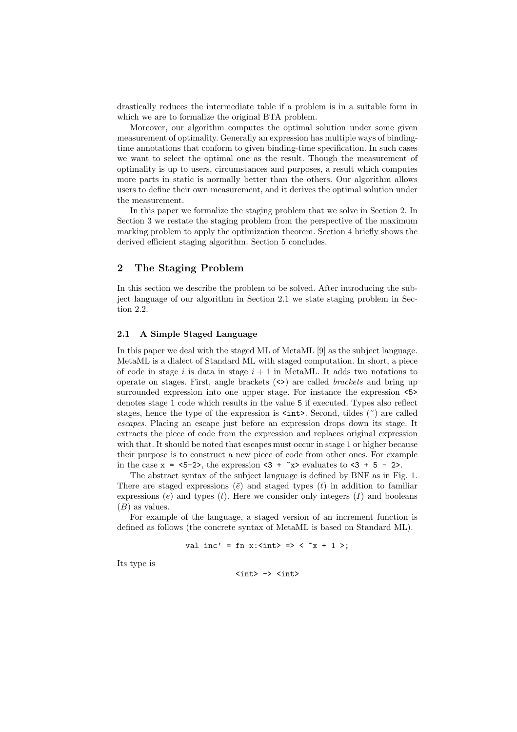drastically reduces the intermediate table if a problem is in a suitable form in which we are to formalize the original BTA problem.

Moreover, our algorithm computes the optimal solution under some given measurement of optimality. Generally an expression has multiple ways of bindingtime annotations that conform to given binding-time specification. In such cases we want to select the optimal one as the result. Though the measurement of optimality is up to users, circumstances and purposes, a result which computes more parts in static is normally better than the others. Our algorithm allows users to define their own measurement, and it derives the optimal solution under the measurement.

In this paper we formalize the staging problem that we solve in Section 2. In Section 3 we restate the staging problem from the perspective of the maximum marking problem to apply the optimization theorem. Section 4 briefly shows the derived efficient staging algorithm. Section 5 concludes.

## 2 The Staging Problem

In this section we describe the problem to be solved. After introducing the subject language of our algorithm in Section 2.1 we state staging problem in Section 2.2.

#### 2.1 A Simple Staged Language

In this paper we deal with the staged ML of MetaML [9] as the subject language. MetaML is a dialect of Standard ML with staged computation. In short, a piece of code in stage i is data in stage  $i + 1$  in MetaML. It adds two notations to operate on stages. First, angle brackets  $(\le)$  are called *brackets* and bring up surrounded expression into one upper stage. For instance the expression <5> denotes stage 1 code which results in the value 5 if executed. Types also reflect stages, hence the type of the expression is  $\text{Sint}$ . Second, tildes ( $\tilde{ }$ ) are called escapes. Placing an escape just before an expression drops down its stage. It extracts the piece of code from the expression and replaces original expression with that. It should be noted that escapes must occur in stage 1 or higher because their purpose is to construct a new piece of code from other ones. For example in the case  $x = 5-2$ , the expression  $-3 + x$  evaluates to  $-3 + 5 - 2$ .

The abstract syntax of the subject language is defined by BNF as in Fig. 1. There are staged expressions ( $\bar{e}$ ) and staged types ( $\bar{t}$ ) in addition to familiar expressions  $(e)$  and types  $(t)$ . Here we consider only integers  $(I)$  and booleans  $(B)$  as values.

For example of the language, a staged version of an increment function is defined as follows (the concrete syntax of MetaML is based on Standard ML).

val inc' = fn x:<
$$
\int
$$
 =  $\int$   $\int$   $\int$   $\int$  =  $\int$   $\int$   $\int$   $\int$   $\int$   $\int$   $\int$   $\int$   $\int$   $\int$   $\int$   $\int$   $\int$   $\int$   $\int$   $\int$   $\int$   $\int$   $\int$   $\int$   $\int$   $\int$   $\int$   $\int$   $\int$   $\int$   $\int$   $\int$   $\int$   $\int$   $\int$   $\int$   $\int$   $\int$   $\int$   $\int$   $\int$   $\int$   $\int$   $\int$   $\int$   $\int$   $\int$   $\int$   $\int$   $\int$   $\int$   $\int$   $\int$   $\int$   $\int$   $\int$   $\int$   $\int$   $\int$   $\int$   $\int$   $\int$   $\int$   $\int$   $\int$   $\int$   $\int$   $\int$   $\int$   $\int$   $\int$   $\int$   $\int$   $\int$   $\int$   $\int$   $\int$   $\int$   $\int$   $\int$   $\int$   $\int$   $\int$   $\int$   $\int$   $\int$   $\int$   $\int$   $\int$   $\int$   $\int$   $\int$   $\int$   $\int$   $\int$   $\int$   $\int$   $\int$   $\int$   $\int$   $\int$   $\int$   $\int$   $\int$   $\int$   $\int$   $\int$ 

Its type is

 $\langle$ int> ->  $\langle$ int>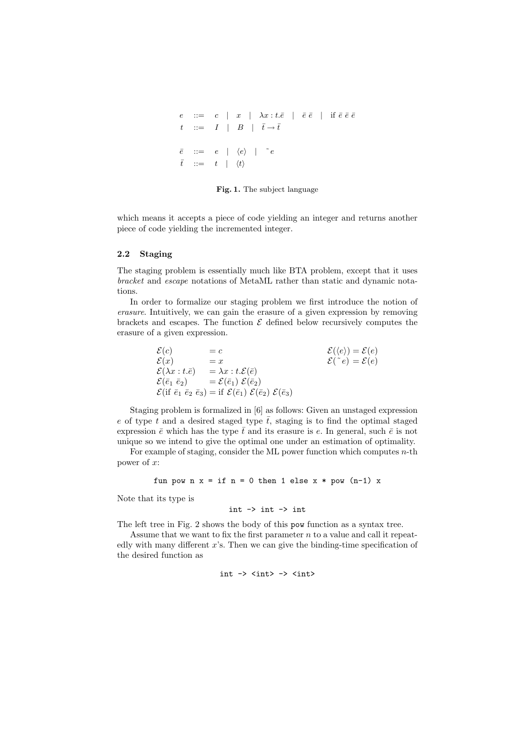```
e ::= c | x | \lambda x : t.\bar{e} | \bar{e} \bar{e} | if \bar{e} \bar{e} \bar{e}t ::= I \mid B \mid \bar{t} \rightarrow \bar{t}\overline{e} ::= e | \langle e \rangle | \overline{e}\bar{t} ::= t | \langle t \rangle
```
Fig. 1. The subject language

which means it accepts a piece of code yielding an integer and returns another piece of code yielding the incremented integer.

## 2.2 Staging

The staging problem is essentially much like BTA problem, except that it uses bracket and escape notations of MetaML rather than static and dynamic notations.

In order to formalize our staging problem we first introduce the notion of erasure. Intuitively, we can gain the erasure of a given expression by removing brackets and escapes. The function  $\mathcal E$  defined below recursively computes the erasure of a given expression.

$$
\begin{array}{lll}\n\mathcal{E}(c) & = c & \mathcal{E}(\langle e \rangle) = \mathcal{E}(e) \\
\mathcal{E}(x) & = x & \mathcal{E}(\langle e \rangle) = \mathcal{E}(e) \\
\mathcal{E}(\lambda x : t.\bar{e}) & = \lambda x : t.\mathcal{E}(\bar{e}) & \mathcal{E}(\bar{e}_1 \bar{e}_2) \\
\mathcal{E}(\bar{e}_1 \bar{e}_2) & = \mathcal{E}(\bar{e}_1) \ \mathcal{E}(\bar{e}_2) & \mathcal{E}(\bar{e}_3) & \mathcal{E}(\bar{e}_3)\n\end{array}
$$

Staging problem is formalized in [6] as follows: Given an unstaged expression e of type t and a desired staged type  $\overline{t}$ , staging is to find the optimal staged expression  $\bar{e}$  which has the type  $\bar{t}$  and its erasure is e. In general, such  $\bar{e}$  is not unique so we intend to give the optimal one under an estimation of optimality.

For example of staging, consider the ML power function which computes  $n$ -th power of x:

```
fun pow n \times = if n = 0 then 1 else x * pow (n-1) x
```
Note that its type is

$$
int \rightarrow int \rightarrow int
$$

The left tree in Fig. 2 shows the body of this pow function as a syntax tree.

Assume that we want to fix the first parameter  $n$  to a value and call it repeatedly with many different x's. Then we can give the binding-time specification of the desired function as

$$
\verb|int -> <;int> -> <;int>
$$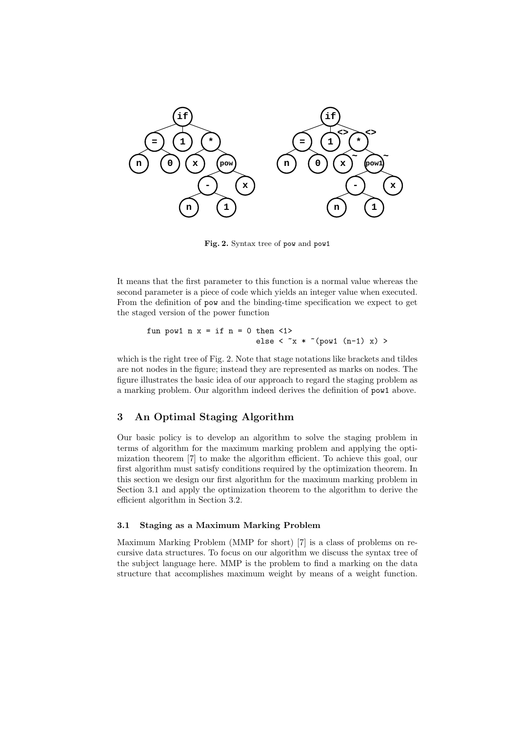

Fig. 2. Syntax tree of pow and pow1

It means that the first parameter to this function is a normal value whereas the second parameter is a piece of code which yields an integer value when executed. From the definition of pow and the binding-time specification we expect to get the staged version of the power function

```
fun pow1 n x = if n = 0 then < 1else < x * \sim (pow1 (n-1) x)
```
which is the right tree of Fig. 2. Note that stage notations like brackets and tildes are not nodes in the figure; instead they are represented as marks on nodes. The figure illustrates the basic idea of our approach to regard the staging problem as a marking problem. Our algorithm indeed derives the definition of pow1 above.

## 3 An Optimal Staging Algorithm

Our basic policy is to develop an algorithm to solve the staging problem in terms of algorithm for the maximum marking problem and applying the optimization theorem [7] to make the algorithm efficient. To achieve this goal, our first algorithm must satisfy conditions required by the optimization theorem. In this section we design our first algorithm for the maximum marking problem in Section 3.1 and apply the optimization theorem to the algorithm to derive the efficient algorithm in Section 3.2.

#### 3.1 Staging as a Maximum Marking Problem

Maximum Marking Problem (MMP for short) [7] is a class of problems on recursive data structures. To focus on our algorithm we discuss the syntax tree of the subject language here. MMP is the problem to find a marking on the data structure that accomplishes maximum weight by means of a weight function.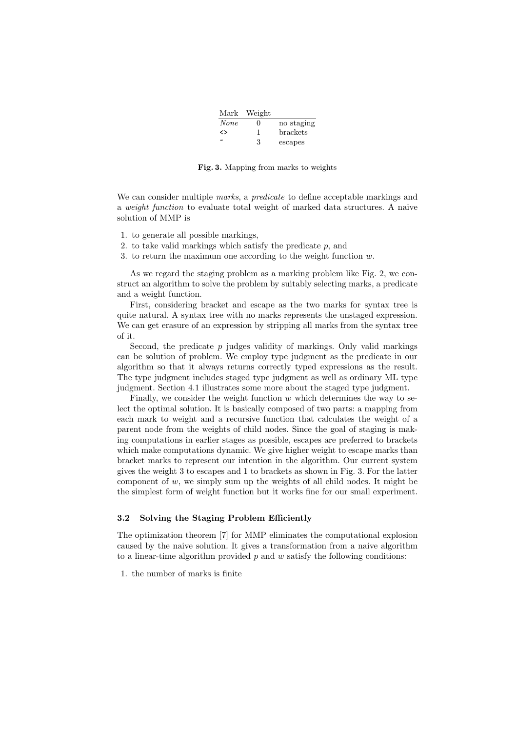| Mark                     | Weight       |                 |
|--------------------------|--------------|-----------------|
| <b>None</b>              | $\mathbf{0}$ | no staging      |
| ◇                        |              | <b>brackets</b> |
| $\overline{\phantom{a}}$ | З            | escapes         |

Fig. 3. Mapping from marks to weights

We can consider multiple marks, a predicate to define acceptable markings and a weight function to evaluate total weight of marked data structures. A naive solution of MMP is

- 1. to generate all possible markings,
- 2. to take valid markings which satisfy the predicate  $p$ , and
- 3. to return the maximum one according to the weight function  $w$ .

As we regard the staging problem as a marking problem like Fig. 2, we construct an algorithm to solve the problem by suitably selecting marks, a predicate and a weight function.

First, considering bracket and escape as the two marks for syntax tree is quite natural. A syntax tree with no marks represents the unstaged expression. We can get erasure of an expression by stripping all marks from the syntax tree of it.

Second, the predicate  $p$  judges validity of markings. Only valid markings can be solution of problem. We employ type judgment as the predicate in our algorithm so that it always returns correctly typed expressions as the result. The type judgment includes staged type judgment as well as ordinary ML type judgment. Section 4.1 illustrates some more about the staged type judgment.

Finally, we consider the weight function  $w$  which determines the way to select the optimal solution. It is basically composed of two parts: a mapping from each mark to weight and a recursive function that calculates the weight of a parent node from the weights of child nodes. Since the goal of staging is making computations in earlier stages as possible, escapes are preferred to brackets which make computations dynamic. We give higher weight to escape marks than bracket marks to represent our intention in the algorithm. Our current system gives the weight 3 to escapes and 1 to brackets as shown in Fig. 3. For the latter component of  $w$ , we simply sum up the weights of all child nodes. It might be the simplest form of weight function but it works fine for our small experiment.

## 3.2 Solving the Staging Problem Efficiently

The optimization theorem [7] for MMP eliminates the computational explosion caused by the naive solution. It gives a transformation from a naive algorithm to a linear-time algorithm provided  $p$  and  $w$  satisfy the following conditions:

1. the number of marks is finite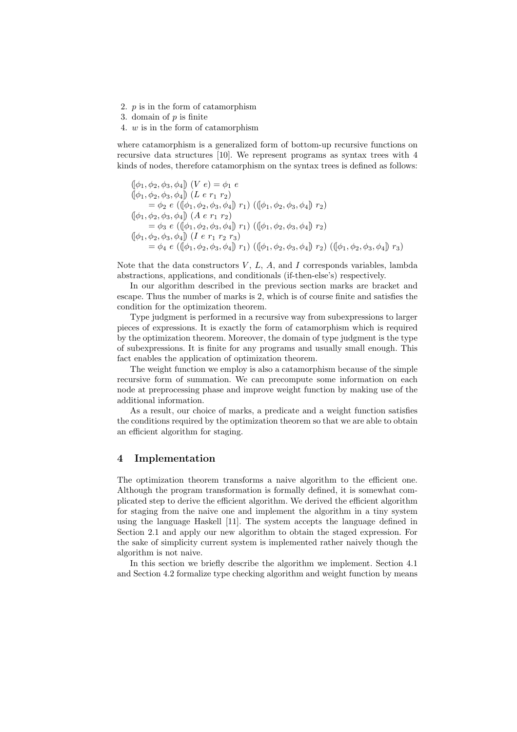- 2. p is in the form of catamorphism
- 3. domain of  $p$  is finite
- 4. w is in the form of catamorphism

where catamorphism is a generalized form of bottom-up recursive functions on recursive data structures [10]. We represent programs as syntax trees with 4 kinds of nodes, therefore catamorphism on the syntax trees is defined as follows:

$$
([\phi_1, \phi_2, \phi_3, \phi_4]) (V e) = \phi_1 e
$$
  
\n
$$
([\phi_1, \phi_2, \phi_3, \phi_4]) (L e r_1 r_2)
$$
  
\n
$$
= \phi_2 e ((\phi_1, \phi_2, \phi_3, \phi_4) r_1) ((\phi_1, \phi_2, \phi_3, \phi_4) r_2)
$$
  
\n
$$
([\phi_1, \phi_2, \phi_3, \phi_4]) (A e r_1 r_2)
$$
  
\n
$$
= \phi_3 e ((\phi_1, \phi_2, \phi_3, \phi_4) r_1) ((\phi_1, \phi_2, \phi_3, \phi_4) r_2)
$$
  
\n
$$
[(\phi_1, \phi_2, \phi_3, \phi_4)] (I e r_1 r_2 r_3)
$$
  
\n
$$
= \phi_4 e ((\phi_1, \phi_2, \phi_3, \phi_4) r_1) ((\phi_1, \phi_2, \phi_3, \phi_4) r_2) ((\phi_1, \phi_2, \phi_3, \phi_4) r_3)
$$

Note that the data constructors  $V, L, A$ , and  $I$  corresponds variables, lambda abstractions, applications, and conditionals (if-then-else's) respectively.

In our algorithm described in the previous section marks are bracket and escape. Thus the number of marks is 2, which is of course finite and satisfies the condition for the optimization theorem.

Type judgment is performed in a recursive way from subexpressions to larger pieces of expressions. It is exactly the form of catamorphism which is required by the optimization theorem. Moreover, the domain of type judgment is the type of subexpressions. It is finite for any programs and usually small enough. This fact enables the application of optimization theorem.

The weight function we employ is also a catamorphism because of the simple recursive form of summation. We can precompute some information on each node at preprocessing phase and improve weight function by making use of the additional information.

As a result, our choice of marks, a predicate and a weight function satisfies the conditions required by the optimization theorem so that we are able to obtain an efficient algorithm for staging.

## 4 Implementation

The optimization theorem transforms a naive algorithm to the efficient one. Although the program transformation is formally defined, it is somewhat complicated step to derive the efficient algorithm. We derived the efficient algorithm for staging from the naive one and implement the algorithm in a tiny system using the language Haskell [11]. The system accepts the language defined in Section 2.1 and apply our new algorithm to obtain the staged expression. For the sake of simplicity current system is implemented rather naively though the algorithm is not naive.

In this section we briefly describe the algorithm we implement. Section 4.1 and Section 4.2 formalize type checking algorithm and weight function by means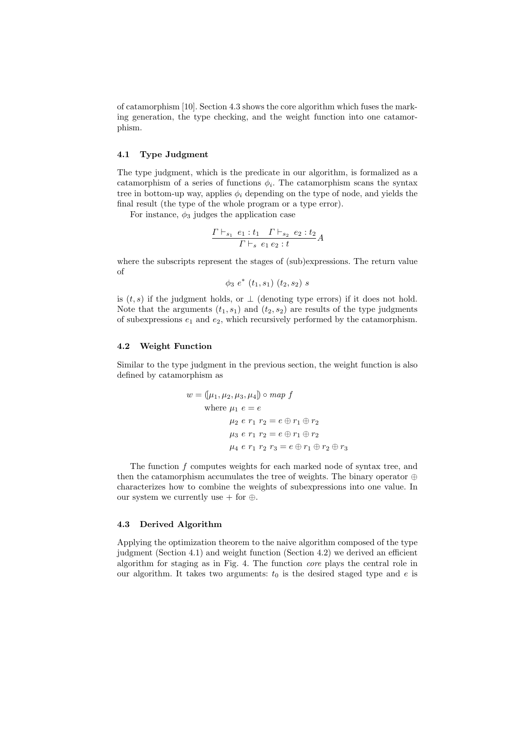of catamorphism [10]. Section 4.3 shows the core algorithm which fuses the marking generation, the type checking, and the weight function into one catamorphism.

#### 4.1 Type Judgment

The type judgment, which is the predicate in our algorithm, is formalized as a catamorphism of a series of functions  $\phi_i$ . The catamorphism scans the syntax tree in bottom-up way, applies  $\phi_i$  depending on the type of node, and yields the final result (the type of the whole program or a type error).

For instance,  $\phi_3$  judges the application case

$$
\frac{\Gamma\vdash_{s_1} e_1 : t_1 \quad \Gamma\vdash_{s_2} e_2 : t_2}{\Gamma\vdash_s e_1 e_2 : t} A
$$

where the subscripts represent the stages of (sub)expressions. The return value of

 $\phi_3 e^* (t_1, s_1) (t_2, s_2) s$ 

is  $(t, s)$  if the judgment holds, or  $\perp$  (denoting type errors) if it does not hold. Note that the arguments  $(t_1, s_1)$  and  $(t_2, s_2)$  are results of the type judgments of subexpressions  $e_1$  and  $e_2$ , which recursively performed by the catamorphism.

#### 4.2 Weight Function

Similar to the type judgment in the previous section, the weight function is also defined by catamorphism as

$$
w = (\mu_1, \mu_2, \mu_3, \mu_4) \circ map f
$$
  
where  $\mu_1 e = e$   
 $\mu_2 e r_1 r_2 = e \oplus r_1 \oplus r_2$   
 $\mu_3 e r_1 r_2 = e \oplus r_1 \oplus r_2$   
 $\mu_4 e r_1 r_2 r_3 = e \oplus r_1 \oplus r_2 \oplus r_3$ 

The function  $f$  computes weights for each marked node of syntax tree, and then the catamorphism accumulates the tree of weights. The binary operator ⊕ characterizes how to combine the weights of subexpressions into one value. In our system we currently use  $+$  for  $+$ .

#### 4.3 Derived Algorithm

Applying the optimization theorem to the naive algorithm composed of the type judgment (Section 4.1) and weight function (Section 4.2) we derived an efficient algorithm for staging as in Fig. 4. The function core plays the central role in our algorithm. It takes two arguments:  $t_0$  is the desired staged type and e is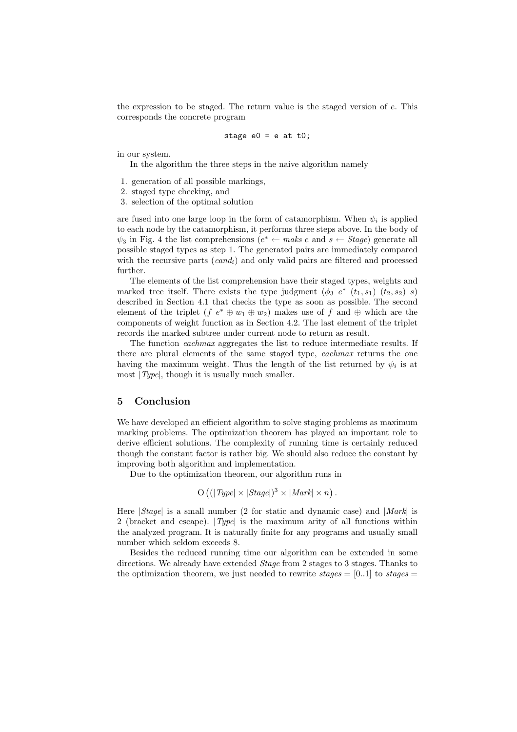the expression to be staged. The return value is the staged version of e. This corresponds the concrete program

stage 
$$
e0 = e
$$
 at  $t0$ ;

in our system.

In the algorithm the three steps in the naive algorithm namely

- 1. generation of all possible markings,
- 2. staged type checking, and
- 3. selection of the optimal solution

are fused into one large loop in the form of catamorphism. When  $\psi_i$  is applied to each node by the catamorphism, it performs three steps above. In the body of  $\psi_3$  in Fig. 4 the list comprehensions  $(e^* \leftarrow \textit{maks} \ e \text{ and } s \leftarrow \textit{Stage})$  generate all possible staged types as step 1. The generated pairs are immediately compared with the recursive parts  $(cand_i)$  and only valid pairs are filtered and processed further.

The elements of the list comprehension have their staged types, weights and marked tree itself. There exists the type judgment  $(\phi_3 e^* (t_1, s_1) (t_2, s_2) s)$ described in Section 4.1 that checks the type as soon as possible. The second element of the triplet  $(f e^* \oplus w_1 \oplus w_2)$  makes use of f and  $\oplus$  which are the components of weight function as in Section 4.2. The last element of the triplet records the marked subtree under current node to return as result.

The function *eachmax* aggregates the list to reduce intermediate results. If there are plural elements of the same staged type, eachmax returns the one having the maximum weight. Thus the length of the list returned by  $\psi_i$  is at most  $|Type|$ , though it is usually much smaller.

#### 5 Conclusion

We have developed an efficient algorithm to solve staging problems as maximum marking problems. The optimization theorem has played an important role to derive efficient solutions. The complexity of running time is certainly reduced though the constant factor is rather big. We should also reduce the constant by improving both algorithm and implementation.

Due to the optimization theorem, our algorithm runs in

$$
O\left((|Type| \times |Stage|)^3 \times |Mark| \times n\right).
$$

Here  $|Stage|$  is a small number (2 for static and dynamic case) and  $|Mark|$  is 2 (bracket and escape).  $|Type|$  is the maximum arity of all functions within the analyzed program. It is naturally finite for any programs and usually small number which seldom exceeds 8.

Besides the reduced running time our algorithm can be extended in some directions. We already have extended  $Stage$  from 2 stages to 3 stages. Thanks to the optimization theorem, we just needed to rewrite  $stages = [0,1]$  to  $stages =$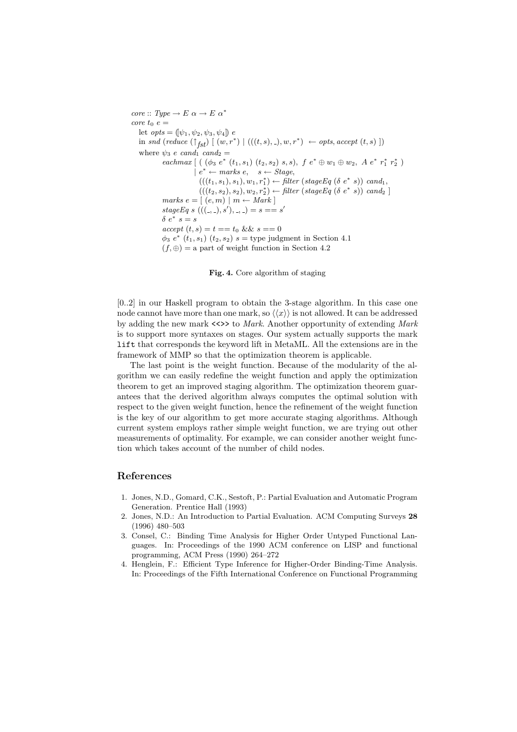core :: Type  $\rightarrow E \alpha \rightarrow E \alpha^*$  $\emph{core}$  t<sub>0</sub> e = let  $opts = (\psi_1, \psi_2, \psi_3, \psi_4)$  e in snd (reduce  $(\uparrow_{fst})$  [ (w, r<sup>\*</sup>) | (((t, s), \_), w, r<sup>\*</sup>) ← opts, accept (t, s) ]) where  $\psi_3$  e cand<sub>1</sub> cand<sub>2</sub> =  $\textit{eachmax} \left[ \; \left( \; (\phi_3 \; e^* \; (t_1, s_1) \; (t_2, s_2) \; s, s), \; f \; e^* \oplus w_1 \oplus w_2, \; A \; e^* \; r_1^* \; r_2^* \; \right) \right]$  $e^* \leftarrow$  marks  $e, \quad s \leftarrow$  Stage,  $(((t_1, s_1), s_1), w_1, r_1^*) \leftarrow filter (stageEq(\delta e^* s)) cand_1,$  $(((t_2,s_2), s_2), w_2, r_2^*) \leftarrow filter (stageEq (\delta e^* s)) can a_2]$  $marks e = [ (e, m) | m \leftarrow Mark ]$ stage Eq s  $(((-, -), s'), -, -) = s == s'$ δ $e^*$  s = s  $accept (t, s) = t == t_0 \&\& s == 0$  $\phi_3$  e<sup>\*</sup> (t<sub>1</sub>, s<sub>1</sub>) (t<sub>2</sub>, s<sub>2</sub>) s = type judgment in Section 4.1  $(f, \oplus)$  = a part of weight function in Section 4.2

Fig. 4. Core algorithm of staging

[0..2] in our Haskell program to obtain the 3-stage algorithm. In this case one node cannot have more than one mark, so  $\langle\langle x \rangle\rangle$  is not allowed. It can be addressed by adding the new mark  $\langle \langle \rangle \rangle$  to *Mark.* Another opportunity of extending *Mark* is to support more syntaxes on stages. Our system actually supports the mark lift that corresponds the keyword lift in MetaML. All the extensions are in the framework of MMP so that the optimization theorem is applicable.

The last point is the weight function. Because of the modularity of the algorithm we can easily redefine the weight function and apply the optimization theorem to get an improved staging algorithm. The optimization theorem guarantees that the derived algorithm always computes the optimal solution with respect to the given weight function, hence the refinement of the weight function is the key of our algorithm to get more accurate staging algorithms. Although current system employs rather simple weight function, we are trying out other measurements of optimality. For example, we can consider another weight function which takes account of the number of child nodes.

## References

- 1. Jones, N.D., Gomard, C.K., Sestoft, P.: Partial Evaluation and Automatic Program Generation. Prentice Hall (1993)
- 2. Jones, N.D.: An Introduction to Partial Evaluation. ACM Computing Surveys 28 (1996) 480–503
- 3. Consel, C.: Binding Time Analysis for Higher Order Untyped Functional Languages. In: Proceedings of the 1990 ACM conference on LISP and functional programming, ACM Press (1990) 264–272
- 4. Henglein, F.: Efficient Type Inference for Higher-Order Binding-Time Analysis. In: Proceedings of the Fifth International Conference on Functional Programming